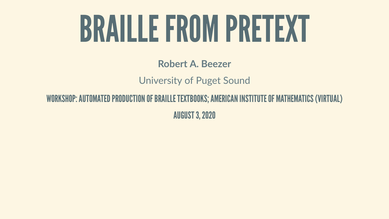# BRAILLEFROM PRETEXT

### **Robert A. Beezer** University of Puget Sound

### WORKSHOP: AUTOMATED PRODUCTION OF BRAILLE TEXTBOOKS; AMERICAN INSTITUTE OF MATHEMATICS (VIRTUAL)

AUGUST3,2020

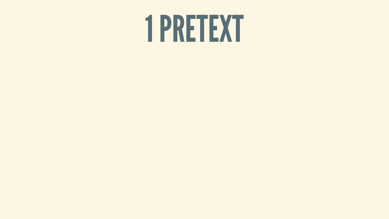# 1 PRETEXT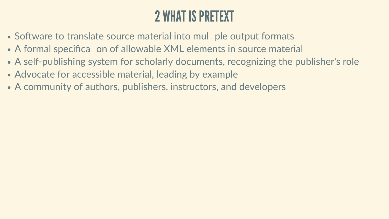# 2 WHAT ISPRETEXT

- Software to translate source material into mul ple output formats
- A formal specifica on of allowable XML elements in source material
- A self-publishing system for scholarly documents, recognizing the publisher's role
- Advocate for accessible material, leading by example
- A community of authors, publishers, instructors, and developers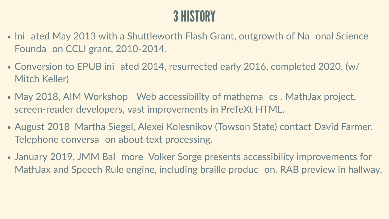## **3 HISTORY**

- Ini ated May 2013 with a Shuttleworth Flash Grant, outgrowth of Na onal Science Founda on CCLI grant, 2010-2014.
- Conversion to EPUB ini ated 2014, resurrected early 2016, completed 2020. (w/ Mitch Keller)
- May 2018, AIM Workshop Web accessibility of mathema cs . MathJax project, screen-reader developers, vast improvements in PreTeXt HTML.
- August 2018 Martha Siegel, Alexei Kolesnikov (Towson State) contact David Farmer. Telephone conversa on about text processing.
- January 2019, JMM Bal more Volker Sorge presents accessibility improvements for MathJax and Speech Rule engine, including braille produc on. RAB preview in hallway.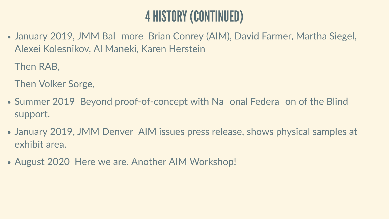# 4HISTORY(CONTINUED)

• January 2019, JMM Bal more Brian Conrey (AIM), David Farmer, Martha Siegel, Alexei Kolesnikov, Al Maneki, Karen Herstein

Then RAB,

Then Volker Sorge,

- Summer 2019 Beyond proof-of-concept with Na onal Federa on of the Blind support.
- January 2019, JMM Denver AIM issues press release, shows physical samples at exhibit area.
- August 2020 Here we are. Another AIM Workshop!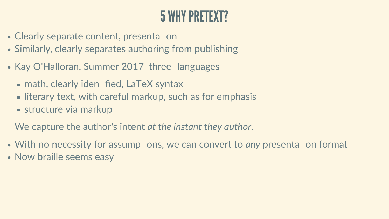### 5 WHYPRETEXT?

- Clearly separate content, presenta on
- Similarly, clearly separates authoring from publishing
- Kay O'Halloran, Summer 2017 three languages
	- **Example 2 random** fied, LaTeX syntax
	- **I** literary text, with careful markup, such as for emphasis
	- **structure via markup**

- With no necessity for assump ons, we can convert to *any* presenta on format
- Now braille seems easy

We capture the author's intent *at the instant they author*.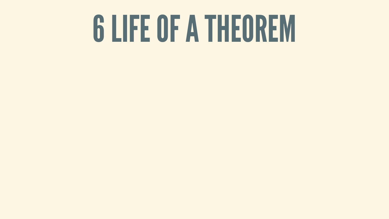# 6 LIFE OF A THEOREM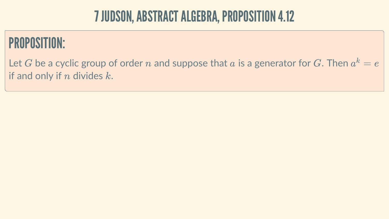### 7 JUDSON, ABSTRACT ALGEBRA, PROPOSITION 4.12

# PROPOSITION:

Let  $G$  be a cyclic group of order  $n$  and suppose that  $a$  is a generator for  $G.$  Then  $a^k = e^\pm$ if and only if  $n$  divides  $k$ .

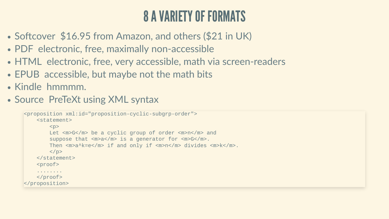## 8AVARIETYOF FORMATS

- Softcover \$16.95 from Amazon, and others (\$21 in UK)
- PDF electronic, free, maximally non-accessible
- HTML electronic, free, very accessible, math via screen-readers
- EPUB accessible, but maybe not the math bits
- Kindle hmmmm.
- Source PreTeXt using XML syntax

```
<proposition xml:id="proposition-cyclic-subgrp-order">
     <statement>
          <br>\n<br>\n<math display="inline">&lt;</math> Let <m>G</m> be a cyclic group of order <m>n</m> and 
          suppose that <m>a</m> is a generator for <m>G</m>.
         Then <m>a^k=e</m> if and only if <m>n</m> divides <m>k</m>.
         \langle/p>
     </statement>
    <sub>proof</sub></sub>
      ........
    </proof>
</proposition>
```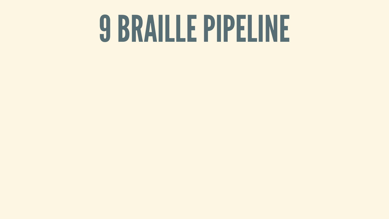# 9BRAILLEPIPELINE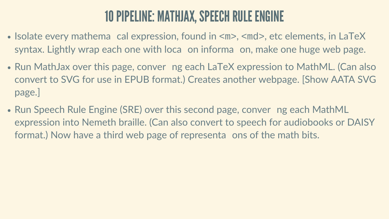## 10 PIPELINE: MATHJAX, SPEECH RULE ENGINE

- Isolate every mathema cal expression, found in  $\langle m \rangle$ ,  $\langle m d \rangle$ , etc elements, in LaTeX syntax. Lightly wrap each one with loca on informa on, make one huge web page.
- Run MathJax over this page, conver ng each LaTeX expression to MathML. (Can also convert to SVG for use in EPUB format.) Creates another webpage. [Show AATA SVG page.]
- Run Speech Rule Engine (SRE) over this second page, conver ng each MathML expression into Nemeth braille. (Can also convert to speech for audiobooks or DAISY format.) Now have a third web page of representa ons of the math bits.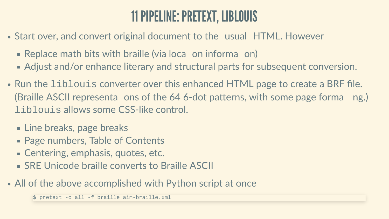# 11PIPELINE:PRETEXT, LIBLOUIS

- Start over, and convert original document to the usual HTML. However
	- **Replace math bits with braille (via loca on informa on)**
	- Adjust and/or enhance literary and structural parts for subsequent conversion.
- Run the liblouis converter over this enhanced HTML page to create a BRF file. (Braille ASCII representa ons of the 64 6-dot patterns, with some page forma ng.) liblouis allows some CSS-like control.
	- **Line breaks, page breaks**
	- **Page numbers, Table of Contents**
	- Centering, emphasis, quotes, etc.
	- SRE Unicode braille converts to Braille ASCII
- All of the above accomplished with Python script at once

\$ pretext -c all -f braille aim-braille.xml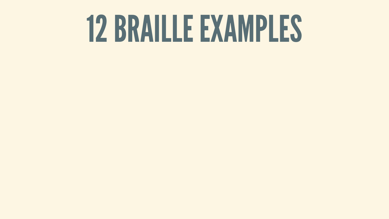# 12BRAILLEEXAMPLES

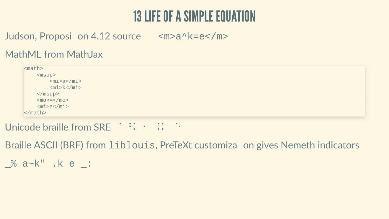### **13 LIFE OF A SIMPLE EQUATION**

Judson, Proposi on 4.12 source  $\langle m \rangle a \wedge k = e \langle m \rangle$ 

### **MathML from MathJax**

 $$mark$$  $<sub>msup</sub>$ </sub>  $<$ mi>a $<$ /mi>  $<$ mi>k</mi>  $msup>$  $<$ mo>= $<$ /mo>  $<$ mi>e</mi>  $\le$ /math>

 $\sim 100$ 

Braille ASCII (BRF) from liblouis, PreTeXt customiza on gives Nemeth indicators

 $%a-k$ ".ke: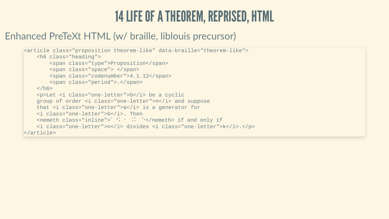### 14 LIFE OF A THEOREM, REPRISED, HTML

### Enhanced PreTeXt HTML (w/ braille, liblouis precursor)

```
<article class="proposition theorem-like" data-braille="theorem-like">
     <h6 class="heading">
         <span class="type">Proposition</span>
        <span class="space"> </span>
        <span class="codenumber">4.1.12</span>
        <span class="period">.</span>
    \langle/h6>
    <p>Let <i class="one-letter">G</i> be a cyclic
    group of order <i class="one-letter">n</i> and suppose
    that <i class="one-letter">a</i> is a generator for
     <i class="one-letter">G</i>. Then 
    <nemeth class="inline"> :: : : :</nemeth> if and only if
    <i class="one-letter">n</i> divides <i class="one-letter">k</i>.</p>
</article>
```
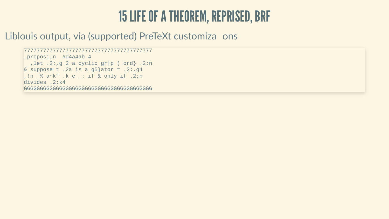### **15 LIFE OF A THEOREM, REPRISED, BRF**

### Liblouis output, via (supported) PreTeXt customiza ons

```
, proposi; n #d4a4ab 4
 , let .2;, g 2 a cyclic gr|p (ord} .2; n
& suppose t .2a is a g5}ator = .2;, g4, !n _% a~k" .k e _: if & only if .2;n
divides .2;k4
```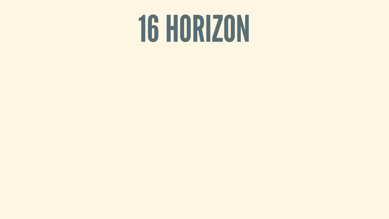# 16HORIZON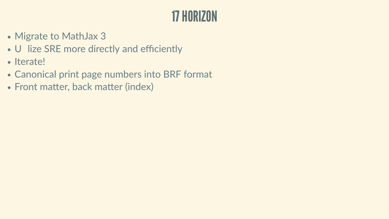### 17HORIZON

- Migrate to MathJax 3
- U lize SRE more directly and efficiently
- Iterate!
- Canonical print page numbers into BRF format
- Front matter, back matter (index)